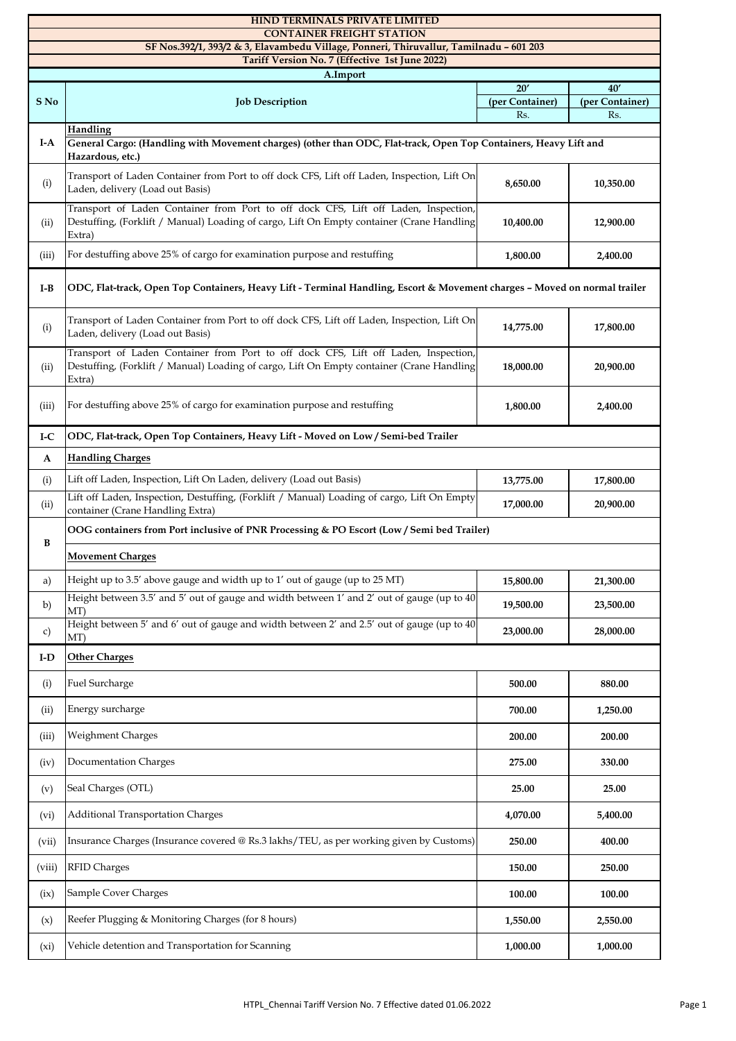|                                                                                                                            | <b>HIND TERMINALS PRIVATE LIMITED</b>                                                                                                                                                      |                        |                        |  |  |
|----------------------------------------------------------------------------------------------------------------------------|--------------------------------------------------------------------------------------------------------------------------------------------------------------------------------------------|------------------------|------------------------|--|--|
| <b>CONTAINER FREIGHT STATION</b><br>SF Nos.392/1, 393/2 & 3, Elavambedu Village, Ponneri, Thiruvallur, Tamilnadu - 601 203 |                                                                                                                                                                                            |                        |                        |  |  |
| Tariff Version No. 7 (Effective 1st June 2022)                                                                             |                                                                                                                                                                                            |                        |                        |  |  |
| A.Import                                                                                                                   |                                                                                                                                                                                            |                        |                        |  |  |
|                                                                                                                            |                                                                                                                                                                                            | 20'                    | 40'                    |  |  |
| S No                                                                                                                       | <b>Job Description</b>                                                                                                                                                                     | (per Container)<br>Rs. | (per Container)<br>Rs. |  |  |
|                                                                                                                            | <b>Handling</b>                                                                                                                                                                            |                        |                        |  |  |
| $I-A$                                                                                                                      | General Cargo: (Handling with Movement charges) (other than ODC, Flat-track, Open Top Containers, Heavy Lift and<br>Hazardous, etc.)                                                       |                        |                        |  |  |
| (i)                                                                                                                        | Transport of Laden Container from Port to off dock CFS, Lift off Laden, Inspection, Lift On<br>Laden, delivery (Load out Basis)                                                            | 8,650.00               | 10,350.00              |  |  |
| (ii)                                                                                                                       | Transport of Laden Container from Port to off dock CFS, Lift off Laden, Inspection,<br>Destuffing, (Forklift / Manual) Loading of cargo, Lift On Empty container (Crane Handling<br>Extra) | 10,400.00              | 12,900.00              |  |  |
| (iii)                                                                                                                      | For destuffing above 25% of cargo for examination purpose and restuffing                                                                                                                   | 1,800.00               | 2,400.00               |  |  |
| I-B                                                                                                                        | ODC, Flat-track, Open Top Containers, Heavy Lift - Terminal Handling, Escort & Movement charges - Moved on normal trailer                                                                  |                        |                        |  |  |
| (i)                                                                                                                        | Transport of Laden Container from Port to off dock CFS, Lift off Laden, Inspection, Lift On<br>Laden, delivery (Load out Basis)                                                            | 14,775.00              | 17,800.00              |  |  |
| (ii)                                                                                                                       | Transport of Laden Container from Port to off dock CFS, Lift off Laden, Inspection,<br>Destuffing, (Forklift / Manual) Loading of cargo, Lift On Empty container (Crane Handling<br>Extra) | 18,000.00              | 20,900.00              |  |  |
| (iii)                                                                                                                      | For destuffing above 25% of cargo for examination purpose and restuffing                                                                                                                   | 1,800.00               | 2,400.00               |  |  |
| $_{\rm I-C}$                                                                                                               | ODC, Flat-track, Open Top Containers, Heavy Lift - Moved on Low / Semi-bed Trailer                                                                                                         |                        |                        |  |  |
| A                                                                                                                          | <b>Handling Charges</b>                                                                                                                                                                    |                        |                        |  |  |
| (i)                                                                                                                        | Lift off Laden, Inspection, Lift On Laden, delivery (Load out Basis)                                                                                                                       | 13,775.00              | 17,800.00              |  |  |
| (ii)                                                                                                                       | Lift off Laden, Inspection, Destuffing, (Forklift / Manual) Loading of cargo, Lift On Empty<br>container (Crane Handling Extra)                                                            | 17,000.00              | 20,900.00              |  |  |
| B                                                                                                                          | OOG containers from Port inclusive of PNR Processing & PO Escort (Low/Semi bed Trailer)                                                                                                    |                        |                        |  |  |
|                                                                                                                            | <b>Movement Charges</b>                                                                                                                                                                    |                        |                        |  |  |
| a)                                                                                                                         | Height up to 3.5' above gauge and width up to 1' out of gauge (up to 25 MT)                                                                                                                | 15,800.00              | 21,300.00              |  |  |
| b)                                                                                                                         | Height between 3.5' and 5' out of gauge and width between 1' and 2' out of gauge (up to 40<br>MT)                                                                                          | 19,500.00              | 23,500.00              |  |  |
| c)                                                                                                                         | Height between 5' and 6' out of gauge and width between 2' and 2.5' out of gauge (up to 40<br>MT)                                                                                          | 23,000.00              | 28,000.00              |  |  |
| $\mathbf{I}\text{-}\mathbf{D}$                                                                                             | <b>Other Charges</b>                                                                                                                                                                       |                        |                        |  |  |
| (i)                                                                                                                        | Fuel Surcharge                                                                                                                                                                             | 500.00                 | 880.00                 |  |  |
| (ii)                                                                                                                       | Energy surcharge                                                                                                                                                                           | 700.00                 | 1,250.00               |  |  |
| (iii)                                                                                                                      | Weighment Charges                                                                                                                                                                          | 200.00                 | 200.00                 |  |  |
| (iv)                                                                                                                       | Documentation Charges                                                                                                                                                                      | 275.00                 | 330.00                 |  |  |
| (v)                                                                                                                        | Seal Charges (OTL)                                                                                                                                                                         | 25.00                  | 25.00                  |  |  |
| (vi)                                                                                                                       | <b>Additional Transportation Charges</b>                                                                                                                                                   | 4,070.00               | 5,400.00               |  |  |
| (vii)                                                                                                                      | Insurance Charges (Insurance covered @ Rs.3 lakhs/TEU, as per working given by Customs)                                                                                                    | 250.00                 | 400.00                 |  |  |
| (viii)                                                                                                                     | <b>RFID Charges</b>                                                                                                                                                                        | 150.00                 | 250.00                 |  |  |
| (ix)                                                                                                                       | Sample Cover Charges                                                                                                                                                                       | 100.00                 | 100.00                 |  |  |
| (x)                                                                                                                        | Reefer Plugging & Monitoring Charges (for 8 hours)                                                                                                                                         | 1,550.00               | 2,550.00               |  |  |
| (xi)                                                                                                                       | Vehicle detention and Transportation for Scanning                                                                                                                                          | 1,000.00               | 1,000.00               |  |  |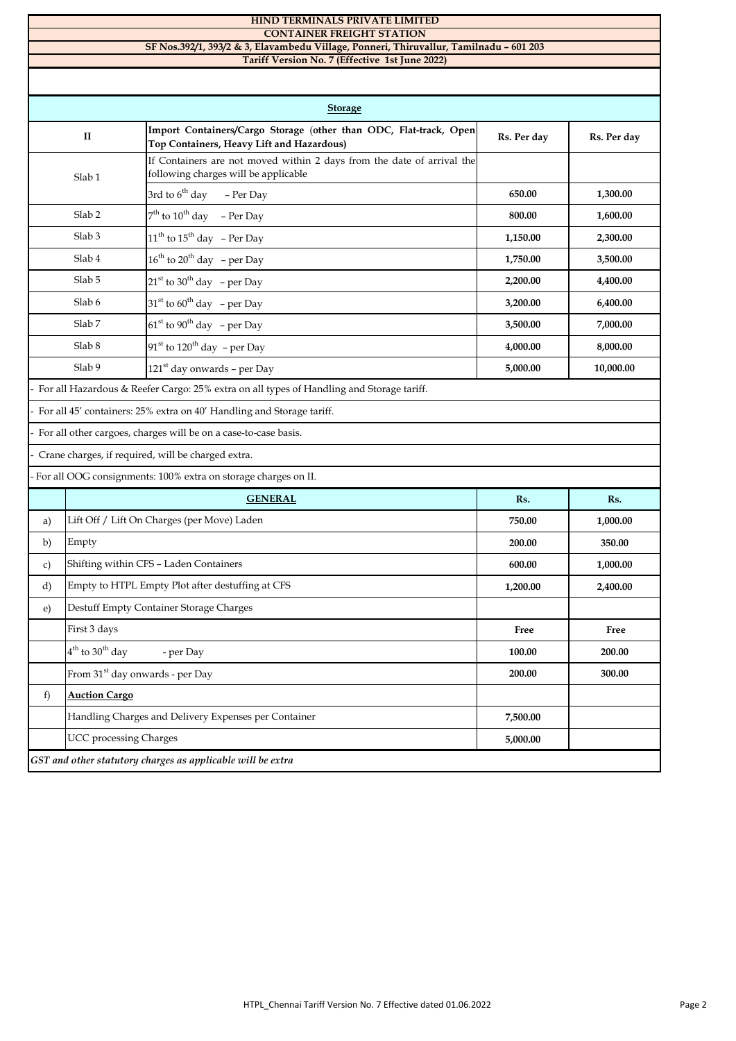|                                                                                        | <b>HIND TERMINALS PRIVATE LIMITED</b><br><b>CONTAINER FREIGHT STATION</b> |                                                                                                                |             |             |  |  |  |
|----------------------------------------------------------------------------------------|---------------------------------------------------------------------------|----------------------------------------------------------------------------------------------------------------|-------------|-------------|--|--|--|
| SF Nos.392/1, 393/2 & 3, Elavambedu Village, Ponneri, Thiruvallur, Tamilnadu - 601 203 |                                                                           |                                                                                                                |             |             |  |  |  |
| Tariff Version No. 7 (Effective 1st June 2022)                                         |                                                                           |                                                                                                                |             |             |  |  |  |
|                                                                                        |                                                                           |                                                                                                                |             |             |  |  |  |
| <b>Storage</b>                                                                         |                                                                           |                                                                                                                |             |             |  |  |  |
|                                                                                        | п                                                                         | Import Containers/Cargo Storage (other than ODC, Flat-track, Open<br>Top Containers, Heavy Lift and Hazardous) | Rs. Per day | Rs. Per day |  |  |  |
| Slab <sub>1</sub>                                                                      |                                                                           | If Containers are not moved within 2 days from the date of arrival the<br>following charges will be applicable |             |             |  |  |  |
|                                                                                        |                                                                           | 3rd to $6^{th}$ day<br>- Per Day                                                                               | 650.00      | 1,300.00    |  |  |  |
|                                                                                        | Slab <sub>2</sub>                                                         | $7th$ to $10th$ day - Per Day                                                                                  | 800.00      | 1,600.00    |  |  |  |
|                                                                                        | Slab <sub>3</sub>                                                         | $11^{\text{th}}$ to $15^{\text{th}}$ day - Per Day                                                             | 1,150.00    | 2,300.00    |  |  |  |
|                                                                                        | Slab <sub>4</sub>                                                         | $16^{th}$ to $20^{th}$ day - per Day                                                                           | 1,750.00    | 3,500.00    |  |  |  |
|                                                                                        | Slab <sub>5</sub>                                                         | $21st$ to $30th$ day – per Day                                                                                 | 2,200.00    | 4,400.00    |  |  |  |
| Slab 6                                                                                 |                                                                           | $31st$ to 60 <sup>th</sup> day – per Day                                                                       | 3,200.00    | 6,400.00    |  |  |  |
| Slab <sub>7</sub>                                                                      |                                                                           | $61st$ to 90 <sup>th</sup> day – per Day                                                                       | 3,500.00    | 7,000.00    |  |  |  |
|                                                                                        | Slab <sub>8</sub>                                                         | $91st$ to $120th$ day – per Day                                                                                | 4,000.00    | 8,000.00    |  |  |  |
|                                                                                        | Slab 9                                                                    | $121st$ day onwards - per Day                                                                                  | 5,000.00    | 10,000.00   |  |  |  |
|                                                                                        |                                                                           | For all Hazardous & Reefer Cargo: 25% extra on all types of Handling and Storage tariff.                       |             |             |  |  |  |
| For all 45' containers: 25% extra on 40' Handling and Storage tariff.                  |                                                                           |                                                                                                                |             |             |  |  |  |
|                                                                                        |                                                                           | For all other cargoes, charges will be on a case-to-case basis.                                                |             |             |  |  |  |
| Crane charges, if required, will be charged extra.                                     |                                                                           |                                                                                                                |             |             |  |  |  |
|                                                                                        |                                                                           | For all OOG consignments: 100% extra on storage charges on II.                                                 |             |             |  |  |  |
|                                                                                        |                                                                           | <b>GENERAL</b>                                                                                                 | Rs.         | Rs.         |  |  |  |
| a)                                                                                     |                                                                           | Lift Off / Lift On Charges (per Move) Laden                                                                    | 750.00      | 1,000.00    |  |  |  |
| b)                                                                                     | Empty                                                                     |                                                                                                                | 200.00      | 350.00      |  |  |  |
| c)                                                                                     |                                                                           | Shifting within CFS - Laden Containers                                                                         | 600.00      | 1,000.00    |  |  |  |
| d)                                                                                     |                                                                           | Empty to HTPL Empty Plot after destuffing at CFS                                                               | 1,200.00    | 2,400.00    |  |  |  |
| $\epsilon$                                                                             |                                                                           | Destuff Empty Container Storage Charges                                                                        |             |             |  |  |  |
|                                                                                        | First 3 days                                                              |                                                                                                                | Free        | Free        |  |  |  |
|                                                                                        | $4th$ to 30 <sup>th</sup> day                                             | - per Day                                                                                                      | 100.00      | 200.00      |  |  |  |
|                                                                                        | From 31 <sup>st</sup> day onwards - per Day                               |                                                                                                                | 200.00      | 300.00      |  |  |  |
| f)                                                                                     | <b>Auction Cargo</b>                                                      |                                                                                                                |             |             |  |  |  |
|                                                                                        |                                                                           | Handling Charges and Delivery Expenses per Container                                                           | 7,500.00    |             |  |  |  |

UCC processing Charges *GST and other statutory charges as applicable will be extra* **5,000.00**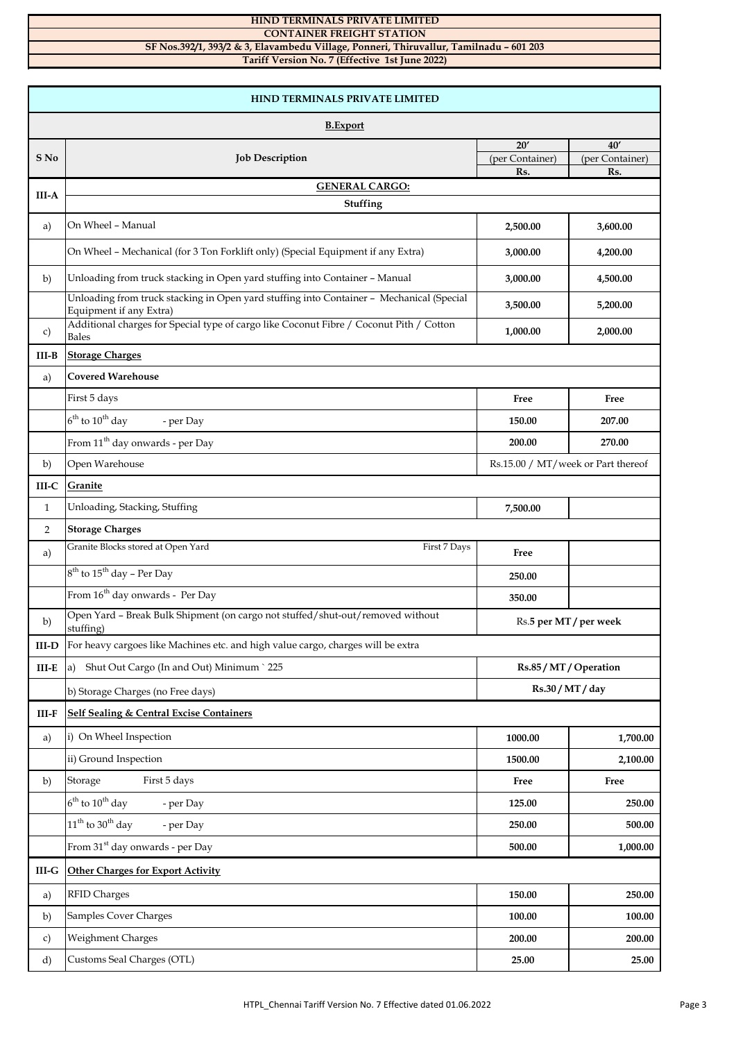## **HIND TERMINALS PRIVATE LIMITED**

## **CONTAINER FREIGHT STATION SF Nos.392/1, 393/2 & 3, Elavambedu Village, Ponneri, Thiruvallur, Tamilnadu – 601 203**

**Tariff Version No. 7 (Effective 1st June 2022)**

| <b>HIND TERMINALS PRIVATE LIMITED</b> |                                                                                                                     |                                    |                        |  |  |
|---------------------------------------|---------------------------------------------------------------------------------------------------------------------|------------------------------------|------------------------|--|--|
| <b>B.</b> Export                      |                                                                                                                     |                                    |                        |  |  |
|                                       |                                                                                                                     | 20'                                | 40'                    |  |  |
| S No                                  | <b>Job Description</b>                                                                                              | (per Container)<br>Rs.             | (per Container)<br>Rs. |  |  |
|                                       | <b>GENERAL CARGO:</b>                                                                                               |                                    |                        |  |  |
| <b>III-A</b>                          | Stuffing                                                                                                            |                                    |                        |  |  |
| a)                                    | On Wheel - Manual                                                                                                   | 2,500.00                           | 3,600.00               |  |  |
|                                       | On Wheel - Mechanical (for 3 Ton Forklift only) (Special Equipment if any Extra)                                    | 3,000.00                           | 4,200.00               |  |  |
| b)                                    | Unloading from truck stacking in Open yard stuffing into Container - Manual                                         | 3,000.00                           | 4,500.00               |  |  |
|                                       | Unloading from truck stacking in Open yard stuffing into Container - Mechanical (Special<br>Equipment if any Extra) | 3,500.00                           | 5,200.00               |  |  |
| c)                                    | Additional charges for Special type of cargo like Coconut Fibre / Coconut Pith / Cotton<br><b>Bales</b>             | 1,000.00                           | 2,000.00               |  |  |
| III-B                                 | <b>Storage Charges</b>                                                                                              |                                    |                        |  |  |
| a)                                    | <b>Covered Warehouse</b>                                                                                            |                                    |                        |  |  |
|                                       | First 5 days                                                                                                        | Free                               | Free                   |  |  |
|                                       | $6^{th}$ to $10^{th}$ day<br>- per Day                                                                              | 150.00                             | 207.00                 |  |  |
|                                       | From 11 <sup>th</sup> day onwards - per Day                                                                         | 200.00                             | 270.00                 |  |  |
| b)                                    | Open Warehouse                                                                                                      | Rs.15.00 / MT/week or Part thereof |                        |  |  |
| $III-C$                               | <b>Granite</b>                                                                                                      |                                    |                        |  |  |
| $\mathbf{1}$                          | Unloading, Stacking, Stuffing                                                                                       | 7,500.00                           |                        |  |  |
| 2                                     | <b>Storage Charges</b>                                                                                              |                                    |                        |  |  |
| a)                                    | Granite Blocks stored at Open Yard<br>First 7 Days                                                                  | Free                               |                        |  |  |
|                                       | 8 <sup>th</sup> to 15 <sup>th</sup> day - Per Day                                                                   | 250.00                             |                        |  |  |
|                                       | From 16 <sup>th</sup> day onwards - Per Day                                                                         | 350.00                             |                        |  |  |
| b)                                    | Open Yard - Break Bulk Shipment (on cargo not stuffed/shut-out/removed without<br>stuffing)                         | Rs.5 per MT / per week             |                        |  |  |
| $III-D$                               | For heavy cargoes like Machines etc. and high value cargo, charges will be extra                                    |                                    |                        |  |  |
| $III-E$                               | Shut Out Cargo (In and Out) Minimum ` 225<br>a)                                                                     | Rs.85 / MT / Operation             |                        |  |  |
|                                       | b) Storage Charges (no Free days)                                                                                   | Rs.30 / MT / day                   |                        |  |  |
| $\text{III-F}$                        | <b>Self Sealing &amp; Central Excise Containers</b>                                                                 |                                    |                        |  |  |
| a)                                    | i) On Wheel Inspection                                                                                              | 1000.00                            | 1,700.00               |  |  |
|                                       | ii) Ground Inspection                                                                                               | 1500.00                            | 2,100.00               |  |  |
| b)                                    | First 5 days<br>Storage                                                                                             | Free                               | Free                   |  |  |
|                                       | $6^{\text{th}}$ to $10^{\text{th}}$ day<br>- per Day                                                                | 125.00                             | 250.00                 |  |  |
|                                       | $11th$ to 30 <sup>th</sup> day<br>- per Day                                                                         | 250.00                             | 500.00                 |  |  |
|                                       | From 31 <sup>st</sup> day onwards - per Day                                                                         | 500.00                             | 1,000.00               |  |  |
| $\mathbf{III}\text{-}\mathbf{G}$      | <b>Other Charges for Export Activity</b>                                                                            |                                    |                        |  |  |
| a)                                    | <b>RFID Charges</b>                                                                                                 | 150.00                             | 250.00                 |  |  |
| b)                                    | Samples Cover Charges                                                                                               | 100.00                             | 100.00                 |  |  |
| c)                                    | Weighment Charges                                                                                                   | 200.00                             | 200.00                 |  |  |
| d)                                    | Customs Seal Charges (OTL)                                                                                          | 25.00                              | 25.00                  |  |  |